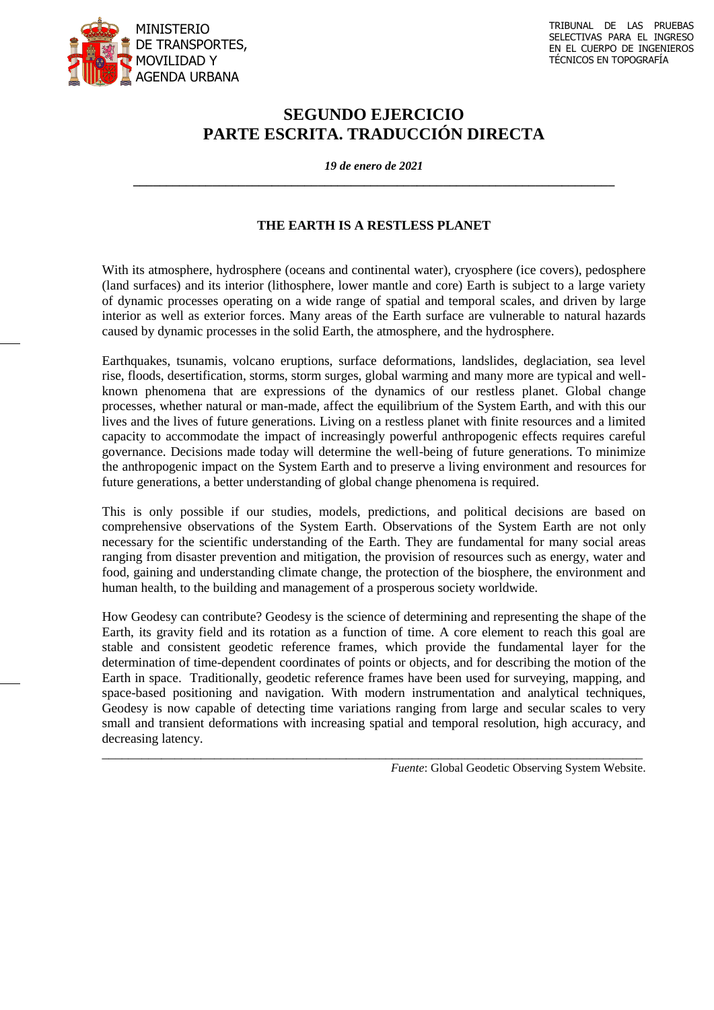

## **SEGUNDO EJERCICIO PARTE ESCRITA. TRADUCCIÓN DIRECTA**

*19 de enero de 2021* **\_\_\_\_\_\_\_\_\_\_\_\_\_\_\_\_\_\_\_\_\_\_\_\_\_\_\_\_\_\_\_\_\_\_\_\_\_\_\_\_\_\_\_\_\_\_\_\_\_\_\_\_\_\_\_\_\_\_\_\_\_\_\_\_\_\_\_\_\_\_\_\_\_**

## **THE EARTH IS A RESTLESS PLANET**

With its atmosphere, hydrosphere (oceans and continental water), cryosphere (ice covers), pedosphere (land surfaces) and its interior (lithosphere, lower mantle and core) Earth is subject to a large variety of dynamic processes operating on a wide range of spatial and temporal scales, and driven by large interior as well as exterior forces. Many areas of the Earth surface are vulnerable to natural hazards caused by dynamic processes in the solid Earth, the atmosphere, and the hydrosphere.

Earthquakes, tsunamis, volcano eruptions, surface deformations, landslides, deglaciation, sea level rise, floods, desertification, storms, storm surges, global warming and many more are typical and wellknown phenomena that are expressions of the dynamics of our restless planet. Global change processes, whether natural or man-made, affect the equilibrium of the System Earth, and with this our lives and the lives of future generations. Living on a restless planet with finite resources and a limited capacity to accommodate the impact of increasingly powerful anthropogenic effects requires careful governance. Decisions made today will determine the well-being of future generations. To minimize the anthropogenic impact on the System Earth and to preserve a living environment and resources for future generations, a better understanding of global change phenomena is required.

This is only possible if our studies, models, predictions, and political decisions are based on comprehensive observations of the System Earth. Observations of the System Earth are not only necessary for the scientific understanding of the Earth. They are fundamental for many social areas ranging from disaster prevention and mitigation, the provision of resources such as energy, water and food, gaining and understanding climate change, the protection of the biosphere, the environment and human health, to the building and management of a prosperous society worldwide.

How Geodesy can contribute? Geodesy is the science of determining and representing the shape of the Earth, its gravity field and its rotation as a function of time. A core element to reach this goal are stable and consistent geodetic reference frames, which provide the fundamental layer for the determination of time-dependent coordinates of points or objects, and for describing the motion of the Earth in space. Traditionally, geodetic reference frames have been used for surveying, mapping, and space-based positioning and navigation. With modern instrumentation and analytical techniques, Geodesy is now capable of detecting time variations ranging from large and secular scales to very small and transient deformations with increasing spatial and temporal resolution, high accuracy, and decreasing latency.

\_\_\_\_\_\_\_\_\_\_\_\_\_\_\_\_\_\_\_\_\_\_\_\_\_\_\_\_\_\_\_\_\_\_\_\_\_\_\_\_\_\_\_\_\_\_\_\_\_\_\_\_\_\_\_\_\_\_\_\_\_\_\_\_\_\_\_\_\_\_\_\_\_\_\_\_\_\_\_\_\_\_

*Fuente*: Global Geodetic Observing System Website.